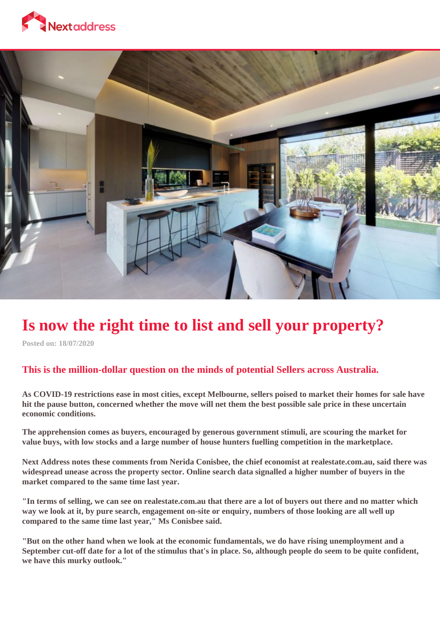



# **Is now the right time to list and sell your property?**

**Posted on: 18/07/2020**

## **This is the million-dollar question on the minds of potential Sellers across Australia.**

**As COVID-19 restrictions ease in most cities, except Melbourne, sellers poised to market their homes for sale have hit the pause button, concerned whether the move will net them the best possible sale price in these uncertain economic conditions.**

**The apprehension comes as buyers, encouraged by generous government stimuli, are scouring the market for value buys, with low stocks and a large number of house hunters fuelling competition in the marketplace.**

**Next Address notes these comments from Nerida Conisbee, the chief economist at realestate.com.au, said there was widespread unease across the property sector. Online search data signalled a higher number of buyers in the market compared to the same time last year.**

**"In terms of selling, we can see on realestate.com.au that there are a lot of buyers out there and no matter which way we look at it, by pure search, engagement on-site or enquiry, numbers of those looking are all well up compared to the same time last year," Ms Conisbee said.**

**"But on the other hand when we look at the economic fundamentals, we do have rising unemployment and a September cut-off date for a lot of the stimulus that's in place. So, although people do seem to be quite confident, we have this murky outlook."**